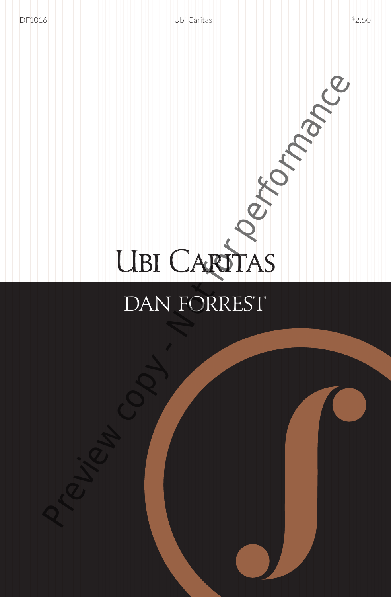## UBI CARDTAS **UBI CARDTAS**<br>DAN FORREST<br>DAN FORREST

## DAN FORREST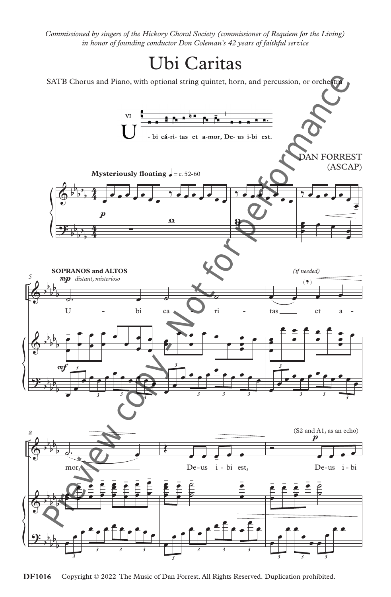*Commissioned by singers of the Hickory Choral Society (commissioner of Requiem for the Living) in honor of founding conductor Don Coleman's 42 years of faithful service*





Copyright © 2022 The Music of Dan Forrest. All Rights Reserved. Duplication prohibited. **DF1016**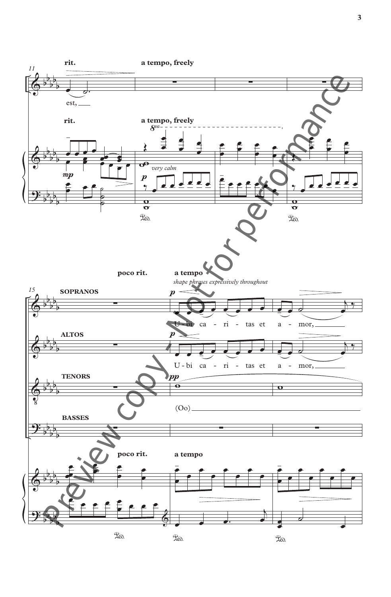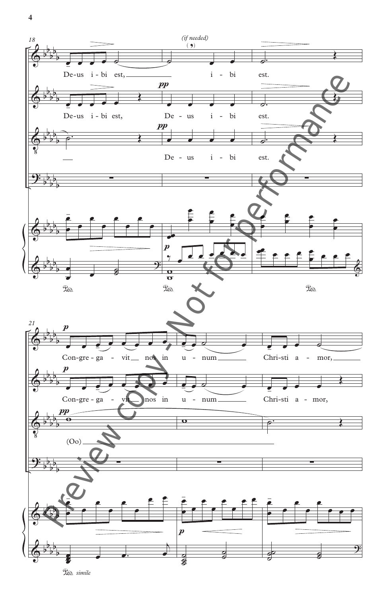

*simile* °

**4**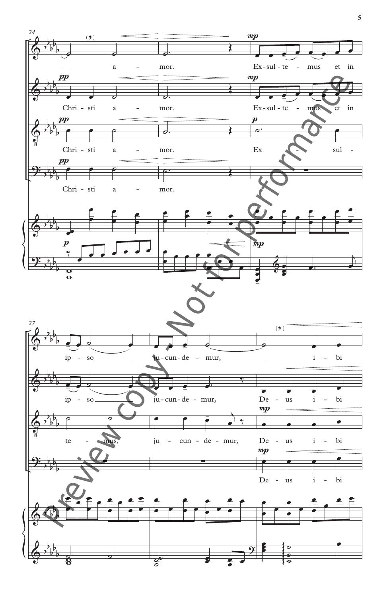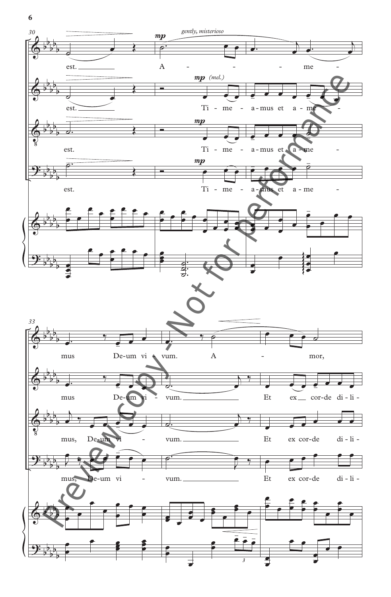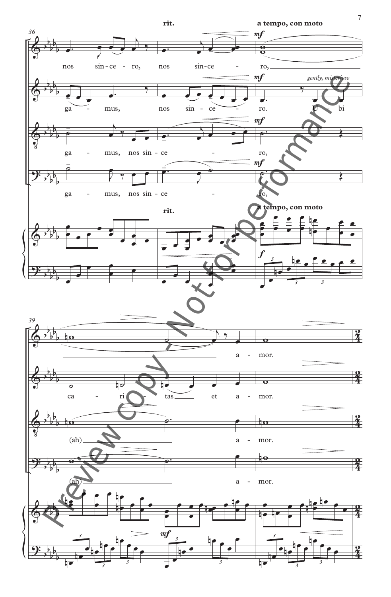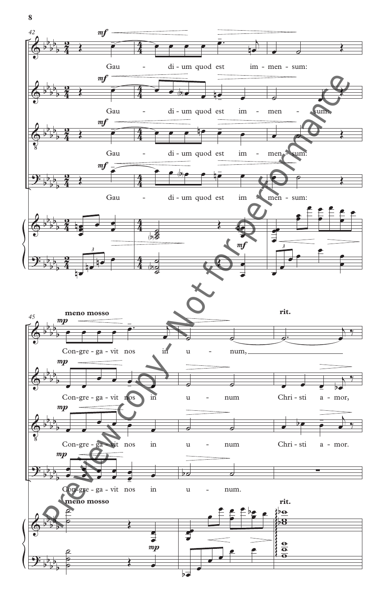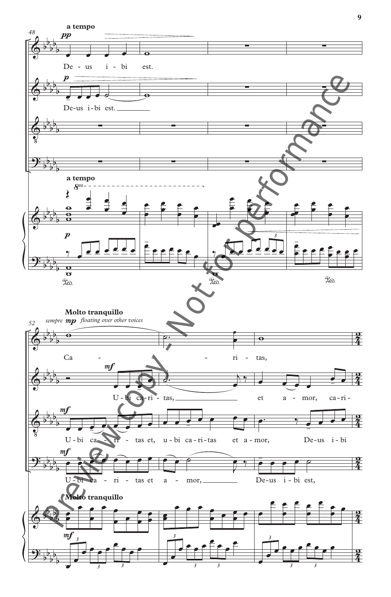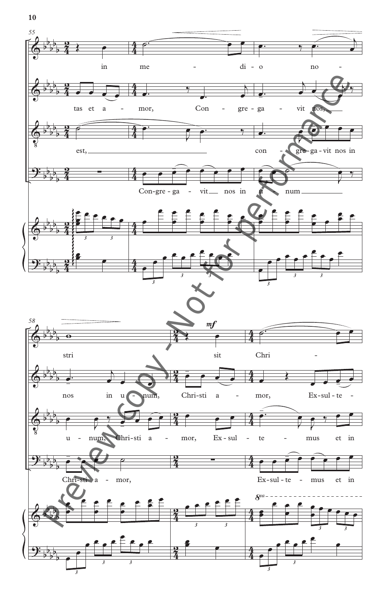

**10**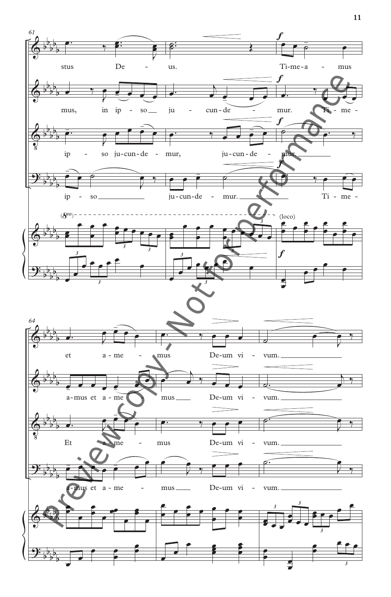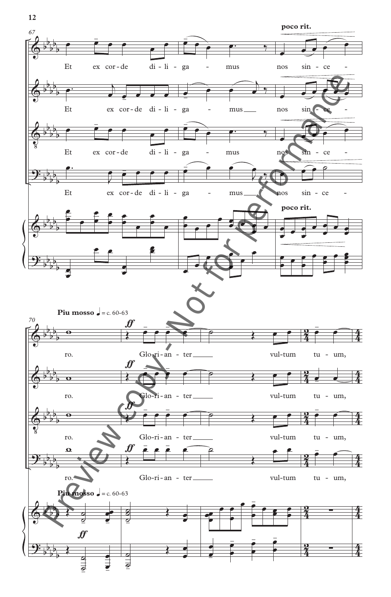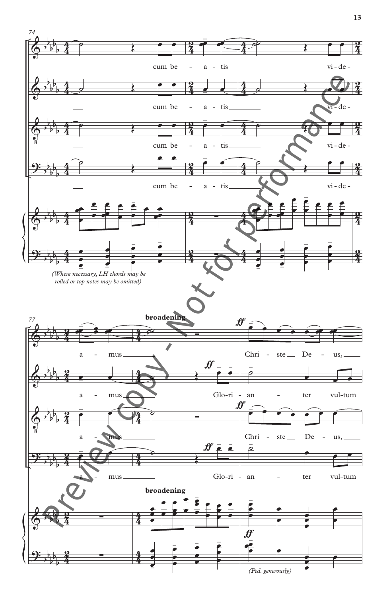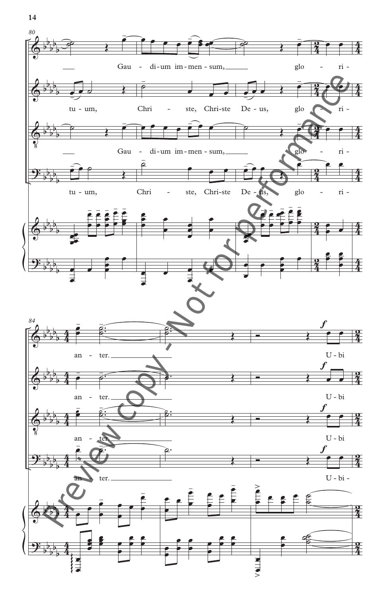

**14**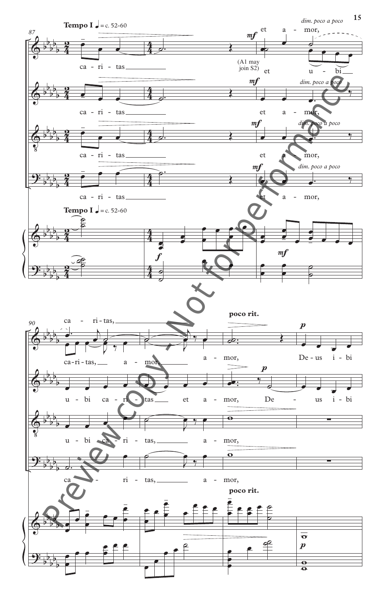